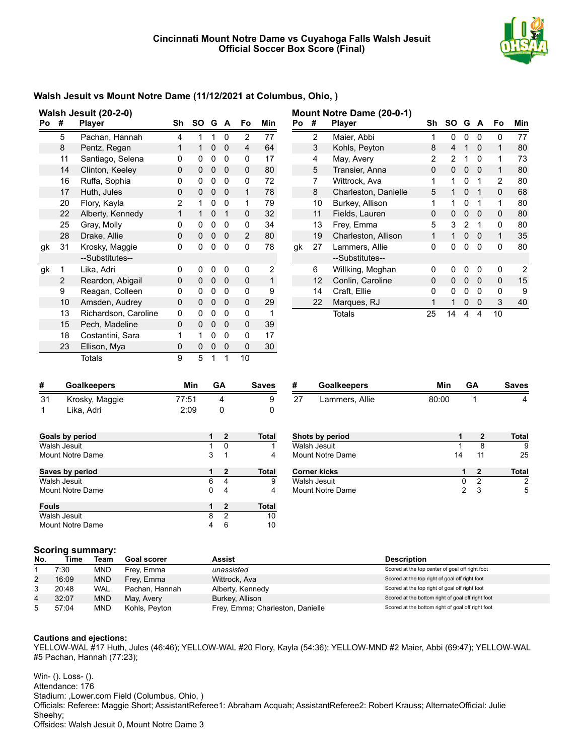

## **Walsh Jesuit vs Mount Notre Dame (11/12/2021 at Columbus, Ohio, )**

| Walsh Jesuit (20-2-0) |    |                      |          |    |   |   |                |                |
|-----------------------|----|----------------------|----------|----|---|---|----------------|----------------|
| Po                    | #  | <b>Player</b>        | Sh       | SO | G | A | Fo             | Min            |
|                       | 5  | Pachan, Hannah       | 4        | 1  | 1 | 0 | $\overline{2}$ | 77             |
|                       | 8  | Pentz, Regan         | 1        | 1  | 0 | 0 | 4              | 64             |
|                       | 11 | Santiago, Selena     | 0        | 0  | 0 | 0 | 0              | 17             |
|                       | 14 | Clinton, Keeley      | $\Omega$ | 0  | 0 | 0 | 0              | 80             |
|                       | 16 | Ruffa, Sophia        | 0        | 0  | 0 | 0 | 0              | 72             |
|                       | 17 | Huth, Jules          | 0        | 0  | 0 | 0 | 1              | 78             |
|                       | 20 | Flory, Kayla         | 2        | 1  | 0 | 0 | 1              | 79             |
|                       | 22 | Alberty, Kennedy     | 1        | 1  | 0 | 1 | 0              | 32             |
|                       | 25 | Gray, Molly          | 0        | 0  | 0 | 0 | 0              | 34             |
|                       | 28 | Drake, Allie         | 0        | 0  | 0 | 0 | 2              | 80             |
| gk                    | 31 | Krosky, Maggie       | 0        | 0  | 0 | 0 | 0              | 78             |
|                       |    | --Substitutes--      |          |    |   |   |                |                |
| gk                    | 1  | Lika, Adri           | 0        | 0  | 0 | 0 | 0              | $\overline{2}$ |
|                       | 2  | Reardon, Abigail     | 0        | 0  | 0 | 0 | 0              | 1              |
|                       | 9  | Reagan, Colleen      | 0        | 0  | 0 | 0 | 0              | 9              |
|                       | 10 | Amsden, Audrey       | 0        | 0  | 0 | 0 | 0              | 29             |
|                       | 13 | Richardson, Caroline | 0        | 0  | 0 | 0 | 0              | 1              |
|                       | 15 | Pech, Madeline       | $\Omega$ | 0  | 0 | 0 | 0              | 39             |
|                       | 18 | Costantini, Sara     | 1        | 1  | 0 | 0 | 0              | 17             |
|                       | 23 | Ellison, Mya         | 0        | 0  | 0 | 0 | 0              | 30             |
|                       |    | Totals               | 9        | 5  | 1 | 1 | 10             |                |

|    | Mount Notre Dame (20-0-1) |                                         |    |    |          |          |    |                |
|----|---------------------------|-----------------------------------------|----|----|----------|----------|----|----------------|
| Po | #                         | <b>Player</b>                           | Sh | SΟ | G        | A        | Fo | Min            |
|    | 2                         | Maier, Abbi                             | 1  | 0  | 0        | 0        | 0  | 77             |
|    | 3                         | Kohls, Peyton                           | 8  | 4  | 1        | 0        | 1  | 80             |
|    | 4                         | May, Avery                              |    | 2  | 1        | 0        | 1  | 73             |
|    | 5                         | Transier, Anna<br>0<br>0<br>0<br>0      |    | 1  | 80       |          |    |                |
|    | 7                         | Wittrock, Ava                           | 1  | 1  | 0        | 1        | 2  | 80             |
|    | 8                         | Charleston, Danielle                    | 5  | 1  | $\Omega$ | 1        | 0  | 68             |
|    | 10                        | Burkey, Allison                         | 1  | 1  | 0        | 1        | 1  | 80             |
|    | 11                        | Fields, Lauren                          | 0  | 0  | 0        | $\Omega$ | 0  | 80             |
|    | 13                        | Frey, Emma                              | 5  | 3  | 2        | 1        | 0  | 80             |
|    | 19                        | Charleston, Allison                     | 1  | 1  | $\Omega$ | 0        | 1  | 35             |
| gk | 27                        | 0<br>Lammers, Allie<br>0<br>0<br>0<br>0 |    | 80 |          |          |    |                |
|    |                           | --Substitutes--                         |    |    |          |          |    |                |
|    | 6                         | Willking, Meghan                        | 0  | 0  | 0        | 0        | 0  | $\overline{2}$ |
|    | 12                        | Conlin, Caroline                        | 0  | 0  | 0        | 0        | 0  | 15             |
|    | 14                        | Craft, Ellie                            | 0  | 0  | 0        | 0        | O  | 9              |
|    | 22                        | Marques, RJ                             | 1  | 1  | 0        | 0        | 3  | 40             |
|    |                           | Totals                                  | 25 | 14 | 4        | 4        | 10 |                |

|    | <b>Goalkeepers</b> | Min   | GА | <b>Saves</b> |
|----|--------------------|-------|----|--------------|
| 31 | Krosky, Maggie     | 77:51 |    |              |
|    | Lika. Adri         | 2:09  |    |              |

| Goals by period  | 1 | 2 | <b>Total</b> |
|------------------|---|---|--------------|
| Walsh Jesuit     |   | 0 |              |
| Mount Notre Dame | 3 | 1 |              |
| Saves by period  |   | 2 | <b>Total</b> |
| Walsh Jesuit     | 6 | 4 | 9            |
| Mount Notre Dame |   | 4 |              |
| <b>Fouls</b>     | 1 | 2 | Total        |
| Walsh Jesuit     | 8 | 2 | 10           |
| Mount Notre Dame |   | 6 | 10           |

| #  | <b>Goalkeepers</b> | Min   | GА | <b>Saves</b> |
|----|--------------------|-------|----|--------------|
| 27 | Lammers, Allie     | 80:00 |    |              |

| Shots by period     |    |    | Total |
|---------------------|----|----|-------|
| Walsh Jesuit        |    |    |       |
| Mount Notre Dame    | 14 | 11 | 25    |
| <b>Corner kicks</b> |    |    | Total |
|                     |    |    |       |
| Walsh Jesuit        |    | 2  |       |

### **Scoring summary:**

| No. | Time  | Team       | Goal scorer    | Assist                           | <b>Description</b>                                |
|-----|-------|------------|----------------|----------------------------------|---------------------------------------------------|
|     | 7:30∶ | <b>MND</b> | Frey, Emma     | unassisted                       | Scored at the top center of goal off right foot   |
| 2   | 16:09 | <b>MND</b> | Frey, Emma     | Wittrock, Ava                    | Scored at the top right of goal off right foot    |
|     | 20:48 | WAL        | Pachan, Hannah | Alberty, Kennedy                 | Scored at the top right of goal off right foot    |
| 4   | 32:07 | <b>MND</b> | May, Avery     | Burkey, Allison                  | Scored at the bottom right of goal off right foot |
| 5   | 57:04 | <b>MND</b> | Kohls, Peyton  | Frey, Emma; Charleston, Danielle | Scored at the bottom right of goal off right foot |

#### **Cautions and ejections:**

YELLOW-WAL #17 Huth, Jules (46:46); YELLOW-WAL #20 Flory, Kayla (54:36); YELLOW-MND #2 Maier, Abbi (69:47); YELLOW-WAL #5 Pachan, Hannah (77:23);

Win- (). Loss- (). Attendance: 176 Stadium: ,Lower.com Field (Columbus, Ohio, ) Officials: Referee: Maggie Short; AssistantReferee1: Abraham Acquah; AssistantReferee2: Robert Krauss; AlternateOfficial: Julie Sheehy; Offsides: Walsh Jesuit 0, Mount Notre Dame 3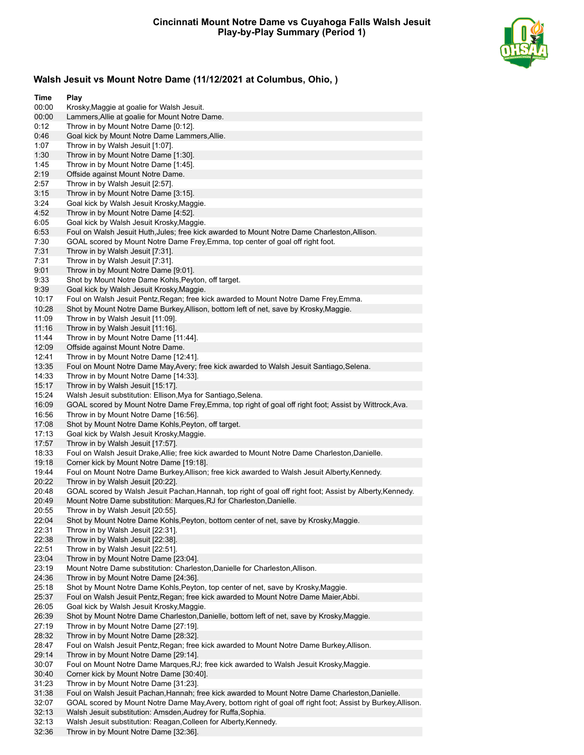

# **Walsh Jesuit vs Mount Notre Dame (11/12/2021 at Columbus, Ohio, )**

| Time           | Play                                                                                                                                                                          |
|----------------|-------------------------------------------------------------------------------------------------------------------------------------------------------------------------------|
| 00:00          | Krosky, Maggie at goalie for Walsh Jesuit.                                                                                                                                    |
| 00:00          | Lammers, Allie at goalie for Mount Notre Dame.                                                                                                                                |
| 0:12           | Throw in by Mount Notre Dame [0:12].                                                                                                                                          |
| 0:46           | Goal kick by Mount Notre Dame Lammers, Allie.                                                                                                                                 |
| 1:07           | Throw in by Walsh Jesuit [1:07].                                                                                                                                              |
| 1:30<br>1:45   | Throw in by Mount Notre Dame [1:30].                                                                                                                                          |
| 2:19           | Throw in by Mount Notre Dame [1:45].<br>Offside against Mount Notre Dame.                                                                                                     |
| 2:57           | Throw in by Walsh Jesuit [2:57].                                                                                                                                              |
| 3:15           | Throw in by Mount Notre Dame [3:15].                                                                                                                                          |
| 3:24           | Goal kick by Walsh Jesuit Krosky, Maggie.                                                                                                                                     |
| 4:52           | Throw in by Mount Notre Dame [4:52].                                                                                                                                          |
| 6:05           | Goal kick by Walsh Jesuit Krosky, Maggie.                                                                                                                                     |
| 6:53           | Foul on Walsh Jesuit Huth, Jules; free kick awarded to Mount Notre Dame Charleston, Allison.                                                                                  |
| 7:30           | GOAL scored by Mount Notre Dame Frey, Emma, top center of goal off right foot.                                                                                                |
| 7:31           | Throw in by Walsh Jesuit [7:31].                                                                                                                                              |
| 7:31           | Throw in by Walsh Jesuit [7:31].                                                                                                                                              |
| 9:01           | Throw in by Mount Notre Dame [9:01].                                                                                                                                          |
| 9:33           | Shot by Mount Notre Dame Kohls, Peyton, off target.                                                                                                                           |
| 9:39           | Goal kick by Walsh Jesuit Krosky, Maggie.                                                                                                                                     |
| 10:17<br>10:28 | Foul on Walsh Jesuit Pentz, Regan; free kick awarded to Mount Notre Dame Frey, Emma.<br>Shot by Mount Notre Dame Burkey, Allison, bottom left of net, save by Krosky, Maggie. |
| 11:09          | Throw in by Walsh Jesuit [11:09].                                                                                                                                             |
| 11:16          | Throw in by Walsh Jesuit [11:16].                                                                                                                                             |
| 11:44          | Throw in by Mount Notre Dame [11:44].                                                                                                                                         |
| 12:09          | Offside against Mount Notre Dame.                                                                                                                                             |
| 12:41          | Throw in by Mount Notre Dame [12:41].                                                                                                                                         |
| 13:35          | Foul on Mount Notre Dame May, Avery; free kick awarded to Walsh Jesuit Santiago, Selena.                                                                                      |
| 14:33          | Throw in by Mount Notre Dame [14:33].                                                                                                                                         |
| 15:17          | Throw in by Walsh Jesuit [15:17].                                                                                                                                             |
| 15:24          | Walsh Jesuit substitution: Ellison, Mya for Santiago, Selena.                                                                                                                 |
| 16:09          | GOAL scored by Mount Notre Dame Frey, Emma, top right of goal off right foot; Assist by Wittrock, Ava.                                                                        |
| 16:56          | Throw in by Mount Notre Dame [16:56].                                                                                                                                         |
| 17:08          | Shot by Mount Notre Dame Kohls, Peyton, off target.                                                                                                                           |
| 17:13<br>17:57 | Goal kick by Walsh Jesuit Krosky, Maggie.<br>Throw in by Walsh Jesuit [17:57].                                                                                                |
| 18:33          | Foul on Walsh Jesuit Drake, Allie; free kick awarded to Mount Notre Dame Charleston, Danielle.                                                                                |
| 19:18          | Corner kick by Mount Notre Dame [19:18].                                                                                                                                      |
| 19:44          | Foul on Mount Notre Dame Burkey, Allison; free kick awarded to Walsh Jesuit Alberty, Kennedy.                                                                                 |
| 20:22          | Throw in by Walsh Jesuit [20:22].                                                                                                                                             |
| 20:48          | GOAL scored by Walsh Jesuit Pachan, Hannah, top right of goal off right foot; Assist by Alberty, Kennedy.                                                                     |
| 20:49          | Mount Notre Dame substitution: Marques, RJ for Charleston, Danielle.                                                                                                          |
| 20:55          | Throw in by Walsh Jesuit [20:55].                                                                                                                                             |
| 22:04          | Shot by Mount Notre Dame Kohls, Peyton, bottom center of net, save by Krosky, Maggie.                                                                                         |
| 22:31          | Throw in by Walsh Jesuit [22:31].                                                                                                                                             |
| 22:38          | Throw in by Walsh Jesuit [22:38].                                                                                                                                             |
| 22:51          | Throw in by Walsh Jesuit [22:51].                                                                                                                                             |
| 23:04<br>23:19 | Throw in by Mount Notre Dame [23:04].<br>Mount Notre Dame substitution: Charleston, Danielle for Charleston, Allison.                                                         |
| 24:36          | Throw in by Mount Notre Dame [24:36].                                                                                                                                         |
| 25:18          | Shot by Mount Notre Dame Kohls, Peyton, top center of net, save by Krosky, Maggie.                                                                                            |
| 25:37          | Foul on Walsh Jesuit Pentz, Regan; free kick awarded to Mount Notre Dame Maier, Abbi.                                                                                         |
| 26:05          | Goal kick by Walsh Jesuit Krosky, Maggie.                                                                                                                                     |
| 26:39          | Shot by Mount Notre Dame Charleston, Danielle, bottom left of net, save by Krosky, Maggie.                                                                                    |
| 27:19          | Throw in by Mount Notre Dame [27:19].                                                                                                                                         |
| 28:32          | Throw in by Mount Notre Dame [28:32].                                                                                                                                         |
| 28:47          | Foul on Walsh Jesuit Pentz, Regan; free kick awarded to Mount Notre Dame Burkey, Allison.                                                                                     |
| 29:14          | Throw in by Mount Notre Dame [29:14].                                                                                                                                         |
| 30:07          | Foul on Mount Notre Dame Marques, RJ; free kick awarded to Walsh Jesuit Krosky, Maggie.                                                                                       |
| 30:40          | Corner kick by Mount Notre Dame [30:40].                                                                                                                                      |
| 31:23          | Throw in by Mount Notre Dame [31:23].                                                                                                                                         |
| 31:38          | Foul on Walsh Jesuit Pachan, Hannah; free kick awarded to Mount Notre Dame Charleston, Danielle.                                                                              |
| 32:07<br>32:13 | GOAL scored by Mount Notre Dame May, Avery, bottom right of goal off right foot; Assist by Burkey, Allison.<br>Walsh Jesuit substitution: Amsden, Audrey for Ruffa, Sophia.   |
| 32:13          | Walsh Jesuit substitution: Reagan, Colleen for Alberty, Kennedy.                                                                                                              |
| 32:36          | Throw in by Mount Notre Dame [32:36].                                                                                                                                         |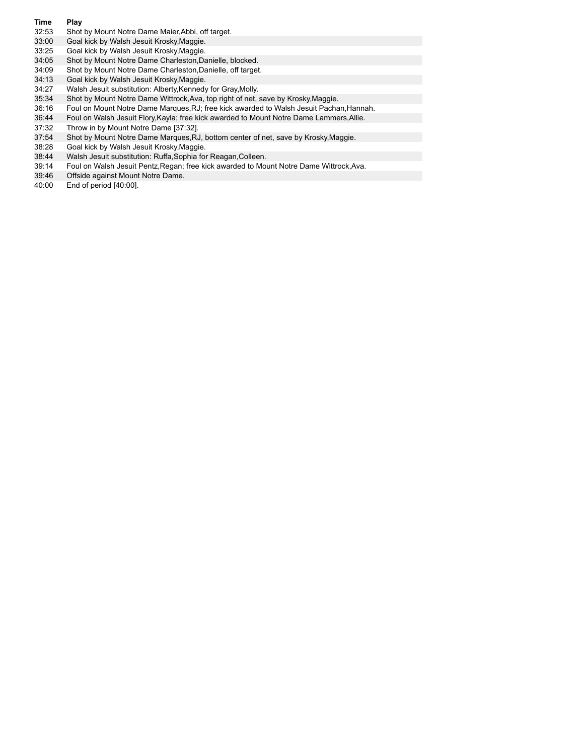#### **Time Play**

- 32:53 Shot by Mount Notre Dame Maier,Abbi, off target.
- 33:00 Goal kick by Walsh Jesuit Krosky,Maggie.
- 33:25 Goal kick by Walsh Jesuit Krosky,Maggie.
- 34:05 Shot by Mount Notre Dame Charleston,Danielle, blocked.
- 34:09 Shot by Mount Notre Dame Charleston,Danielle, off target.
- 34:13 Goal kick by Walsh Jesuit Krosky, Maggie.<br>34:27 Walsh Jesuit substitution: Alberty, Kennedy
- Walsh Jesuit substitution: Alberty,Kennedy for Gray,Molly.
- 35:34 Shot by Mount Notre Dame Wittrock,Ava, top right of net, save by Krosky,Maggie.
- 36:16 Foul on Mount Notre Dame Marques,RJ; free kick awarded to Walsh Jesuit Pachan,Hannah.
- 36:44 Foul on Walsh Jesuit Flory,Kayla; free kick awarded to Mount Notre Dame Lammers,Allie.
- 37:32 Throw in by Mount Notre Dame [37:32].
- 37:54 Shot by Mount Notre Dame Marques,RJ, bottom center of net, save by Krosky,Maggie.
- 38:28 Goal kick by Walsh Jesuit Krosky,Maggie.
- 38:44 Walsh Jesuit substitution: Ruffa,Sophia for Reagan,Colleen.
- 39:14 Foul on Walsh Jesuit Pentz,Regan; free kick awarded to Mount Notre Dame Wittrock,Ava.
- 39:46 Offside against Mount Notre Dame.
- 40:00 End of period [40:00].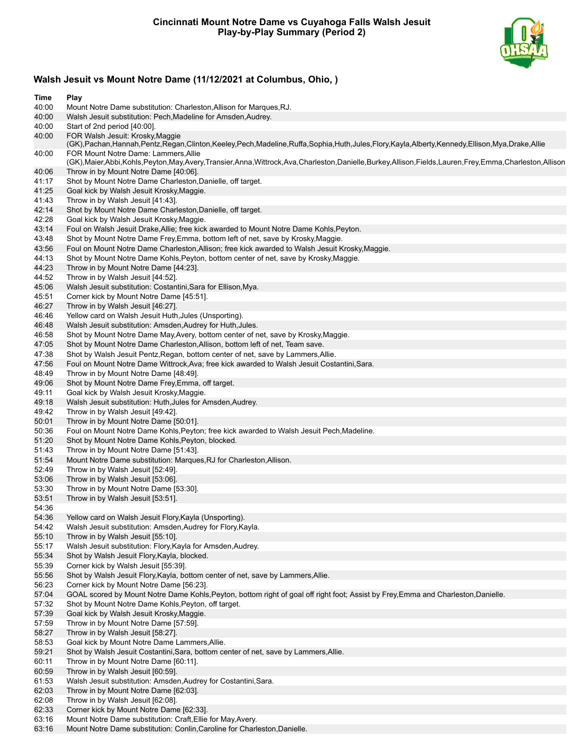

# **Walsh Jesuit vs Mount Notre Dame (11/12/2021 at Columbus, Ohio, )**

| Time           | Play                                                                                                                                                                                    |
|----------------|-----------------------------------------------------------------------------------------------------------------------------------------------------------------------------------------|
| 40:00          | Mount Notre Dame substitution: Charleston, Allison for Marques, RJ.                                                                                                                     |
| 40:00          | Walsh Jesuit substitution: Pech, Madeline for Amsden, Audrey.                                                                                                                           |
| 40:00          | Start of 2nd period [40:00].                                                                                                                                                            |
| 40:00          | FOR Walsh Jesuit: Krosky, Maggie<br>(GK),Pachan,Hannah,Pentz,Regan,Clinton,Keeley,Pech,Madeline,Ruffa,Sophia,Huth,Jules,Flory,Kayla,Alberty,Kennedy,Ellison,Mya,Drake,Allie             |
| 40:00          | FOR Mount Notre Dame: Lammers. Allie<br>(GK),Maier,Abbi,Kohls,Peyton,May,Avery,Transier,Anna,Wittrock,Ava,Charleston,Danielle,Burkey,Allison,Fields,Lauren,Frey,Emma,Charleston,Allison |
| 40:06          | Throw in by Mount Notre Dame [40:06].                                                                                                                                                   |
| 41:17          | Shot by Mount Notre Dame Charleston, Danielle, off target.                                                                                                                              |
| 41:25          | Goal kick by Walsh Jesuit Krosky, Maggie.                                                                                                                                               |
| 41:43          | Throw in by Walsh Jesuit [41:43].                                                                                                                                                       |
| 42:14          | Shot by Mount Notre Dame Charleston, Danielle, off target.                                                                                                                              |
| 42:28          | Goal kick by Walsh Jesuit Krosky, Maggie.                                                                                                                                               |
| 43:14          | Foul on Walsh Jesuit Drake, Allie; free kick awarded to Mount Notre Dame Kohls, Peyton.                                                                                                 |
| 43:48          | Shot by Mount Notre Dame Frey, Emma, bottom left of net, save by Krosky, Maggie.                                                                                                        |
| 43:56          | Foul on Mount Notre Dame Charleston, Allison; free kick awarded to Walsh Jesuit Krosky, Maggie.                                                                                         |
| 44:13<br>44:23 | Shot by Mount Notre Dame Kohls, Peyton, bottom center of net, save by Krosky, Maggie.<br>Throw in by Mount Notre Dame [44:23].                                                          |
| 44:52          | Throw in by Walsh Jesuit [44:52].                                                                                                                                                       |
| 45:06          | Walsh Jesuit substitution: Costantini, Sara for Ellison, Mya.                                                                                                                           |
| 45:51          | Corner kick by Mount Notre Dame [45:51].                                                                                                                                                |
| 46:27          | Throw in by Walsh Jesuit [46:27].                                                                                                                                                       |
| 46:46          | Yellow card on Walsh Jesuit Huth, Jules (Unsporting).                                                                                                                                   |
| 46:48          | Walsh Jesuit substitution: Amsden, Audrey for Huth, Jules.                                                                                                                              |
| 46:58          | Shot by Mount Notre Dame May, Avery, bottom center of net, save by Krosky, Maggie.                                                                                                      |
| 47:05          | Shot by Mount Notre Dame Charleston, Allison, bottom left of net, Team save.                                                                                                            |
| 47:38          | Shot by Walsh Jesuit Pentz, Regan, bottom center of net, save by Lammers, Allie.                                                                                                        |
| 47:56          | Foul on Mount Notre Dame Wittrock, Ava; free kick awarded to Walsh Jesuit Costantini, Sara.                                                                                             |
| 48:49          | Throw in by Mount Notre Dame [48:49].                                                                                                                                                   |
| 49:06          | Shot by Mount Notre Dame Frey, Emma, off target.                                                                                                                                        |
| 49:11          | Goal kick by Walsh Jesuit Krosky, Maggie.                                                                                                                                               |
| 49:18          | Walsh Jesuit substitution: Huth, Jules for Amsden, Audrey.                                                                                                                              |
| 49:42          | Throw in by Walsh Jesuit [49:42].                                                                                                                                                       |
| 50:01<br>50:36 | Throw in by Mount Notre Dame [50:01].<br>Foul on Mount Notre Dame Kohls, Peyton; free kick awarded to Walsh Jesuit Pech, Madeline.                                                      |
| 51:20          | Shot by Mount Notre Dame Kohls, Peyton, blocked.                                                                                                                                        |
| 51:43          | Throw in by Mount Notre Dame [51:43].                                                                                                                                                   |
| 51:54          | Mount Notre Dame substitution: Marques, RJ for Charleston, Allison.                                                                                                                     |
| 52:49          | Throw in by Walsh Jesuit [52:49].                                                                                                                                                       |
| 53:06          | Throw in by Walsh Jesuit [53:06].                                                                                                                                                       |
| 53:30          | Throw in by Mount Notre Dame [53:30].                                                                                                                                                   |
| 53:51          | Throw in by Walsh Jesuit [53:51].                                                                                                                                                       |
| 54:36          |                                                                                                                                                                                         |
| 54:36          | Yellow card on Walsh Jesuit Flory, Kayla (Unsporting).                                                                                                                                  |
| 54:42          | Walsh Jesuit substitution: Amsden, Audrey for Flory, Kayla.                                                                                                                             |
| 55:10          | Throw in by Walsh Jesuit [55:10].                                                                                                                                                       |
| 55:17          | Walsh Jesuit substitution: Flory, Kayla for Amsden, Audrey.                                                                                                                             |
| 55:34          | Shot by Walsh Jesuit Flory, Kayla, blocked.                                                                                                                                             |
| 55:39<br>55:56 | Corner kick by Walsh Jesuit [55:39].<br>Shot by Walsh Jesuit Flory, Kayla, bottom center of net, save by Lammers, Allie.                                                                |
| 56:23          | Corner kick by Mount Notre Dame [56:23].                                                                                                                                                |
| 57:04          | GOAL scored by Mount Notre Dame Kohls, Peyton, bottom right of goal off right foot; Assist by Frey, Emma and Charleston, Danielle.                                                      |
| 57:32          | Shot by Mount Notre Dame Kohls, Peyton, off target.                                                                                                                                     |
| 57:39          | Goal kick by Walsh Jesuit Krosky, Maggie.                                                                                                                                               |
| 57:59          | Throw in by Mount Notre Dame [57:59].                                                                                                                                                   |
| 58:27          | Throw in by Walsh Jesuit [58:27].                                                                                                                                                       |
| 58:53          | Goal kick by Mount Notre Dame Lammers, Allie.                                                                                                                                           |
| 59:21          | Shot by Walsh Jesuit Costantini, Sara, bottom center of net, save by Lammers, Allie.                                                                                                    |
| 60:11          | Throw in by Mount Notre Dame [60:11].                                                                                                                                                   |
| 60:59          | Throw in by Walsh Jesuit [60:59].                                                                                                                                                       |
| 61:53          | Walsh Jesuit substitution: Amsden, Audrey for Costantini, Sara.                                                                                                                         |
| 62:03          | Throw in by Mount Notre Dame [62:03].                                                                                                                                                   |
| 62:08          | Throw in by Walsh Jesuit [62:08].                                                                                                                                                       |
| 62:33          | Corner kick by Mount Notre Dame [62:33].                                                                                                                                                |
| 63:16          | Mount Notre Dame substitution: Craft, Ellie for May, Avery.                                                                                                                             |

63:16 Mount Notre Dame substitution: Conlin,Caroline for Charleston,Danielle.